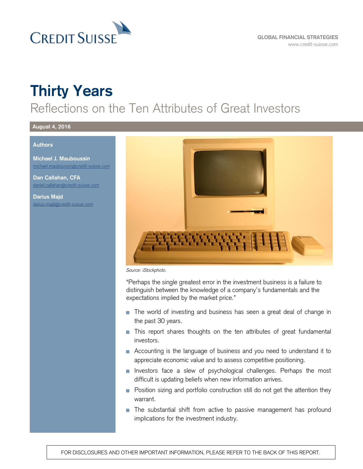

# **Thirty Years**

# Reflections on the Ten Attributes of Great Investors

#### **August 4, 2016**

#### **Authors**

**Michael J. Mauboussin** [michael.mauboussin@credit-suisse.com](mailto:michael.mauboussin@credit-suisse.com)

**Dan Callahan, CFA** [daniel.callahan@credit-suisse.com](mailto:daniel.callahan@credit-suisse.com)

**Darius Majd** [darius.majd@credit-suisse.com](mailto:darius.majd@credit-suisse.com)



*Source: iStockphoto.*

"Perhaps the single greatest error in the investment business is a failure to distinguish between the knowledge of a company's fundamentals and the expectations implied by the market price."

- The world of investing and business has seen a great deal of change in the past 30 years.
- **This report shares thoughts on the ten attributes of great fundamental** investors.
- Accounting is the language of business and you need to understand it to appreciate economic value and to assess competitive positioning.
- **Investors face a slew of psychological challenges. Perhaps the most** difficult is updating beliefs when new information arrives.
- **Position sizing and portfolio construction still do not get the attention they** warrant.
- **The substantial shift from active to passive management has profound** implications for the investment industry.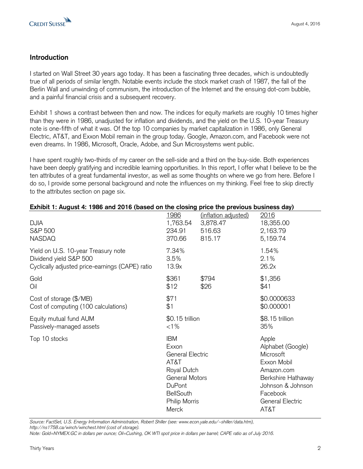

#### **Introduction**

I started on Wall Street 30 years ago today. It has been a fascinating three decades, which is undoubtedly true of all periods of similar length. Notable events include the stock market crash of 1987, the fall of the Berlin Wall and unwinding of communism, the introduction of the Internet and the ensuing dot-com bubble, and a painful financial crisis and a subsequent recovery.

Exhibit 1 shows a contrast between then and now. The indices for equity markets are roughly 10 times higher than they were in 1986, unadjusted for inflation and dividends, and the yield on the U.S. 10-year Treasury note is one-fifth of what it was. Of the top 10 companies by market capitalization in 1986, only General Electric, AT&T, and Exxon Mobil remain in the group today. Google, Amazon.com, and Facebook were not even dreams. In 1986, Microsoft, Oracle, Adobe, and Sun Microsystems went public.

I have spent roughly two-thirds of my career on the sell-side and a third on the buy-side. Both experiences have been deeply gratifying and incredible learning opportunities. In this report, I offer what I believe to be the ten attributes of a great fundamental investor, as well as some thoughts on where we go from here. Before I do so, I provide some personal background and note the influences on my thinking. Feel free to skip directly to the attributes section on page six.

| LATING IT August 4. TJ00 and 2010 (Dased On the Closing price the previous business day) |                                                                                                                                                 |                                                             |                                                                                                                                                         |
|------------------------------------------------------------------------------------------|-------------------------------------------------------------------------------------------------------------------------------------------------|-------------------------------------------------------------|---------------------------------------------------------------------------------------------------------------------------------------------------------|
| <b>DJIA</b><br>S&P 500<br><b>NASDAQ</b>                                                  | <u>1986</u><br>1,763.54<br>234.91<br>370.66                                                                                                     | <u>(inflation adjusted)</u><br>3,878.47<br>516.63<br>815.17 | 2016<br>18,355.00<br>2,163.79<br>5,159.74                                                                                                               |
| Yield on U.S. 10-year Treasury note                                                      | 7.34%                                                                                                                                           |                                                             | 1.54%                                                                                                                                                   |
| Dividend yield S&P 500                                                                   | 3.5%                                                                                                                                            |                                                             | 2.1%                                                                                                                                                    |
| Cyclically adjusted price-earnings (CAPE) ratio                                          | 13.9x                                                                                                                                           |                                                             | 26.2x                                                                                                                                                   |
| Gold                                                                                     | \$361                                                                                                                                           | \$794                                                       | \$1,356                                                                                                                                                 |
| Oil                                                                                      | \$12                                                                                                                                            | \$26                                                        | \$41                                                                                                                                                    |
| Cost of storage (\$/MB)                                                                  | \$71                                                                                                                                            |                                                             | \$0.0000633                                                                                                                                             |
| Cost of computing (100 calculations)                                                     | \$1                                                                                                                                             |                                                             | \$0.000001                                                                                                                                              |
| Equity mutual fund AUM                                                                   | \$0.15 trillion                                                                                                                                 |                                                             | \$8.15 trillion                                                                                                                                         |
| Passively-managed assets                                                                 | $< 1\%$                                                                                                                                         |                                                             | 35%                                                                                                                                                     |
| Top 10 stocks                                                                            | <b>IBM</b><br>Exxon<br><b>General Electric</b><br>AT&T<br>Royal Dutch<br>General Motors<br>DuPont<br><b>BellSouth</b><br>Philip Morris<br>Merck |                                                             | Apple<br>Alphabet (Google)<br>Microsoft<br>Exxon Mobil<br>Amazon.com<br>Berkshire Hathaway<br>Johnson & Johnson<br>Facebook<br>General Electric<br>AT&T |

**Exhibit 1: August 4: 1986 and 2016 (based on the closing price the previous business day)**

*Source: FactSet, U.S. Energy Information Administration, Robert Shiller (see: www.econ.yale.edu/~shiller/data.htm),*

*http://ns1758.ca/winch/winchest.html (cost of storage).*

*Note: Gold=NYMEX:GC in dollars per ounce; Oil=Cushing, OK WTI spot price in dollars per barrel; CAPE ratio as of July 2016.*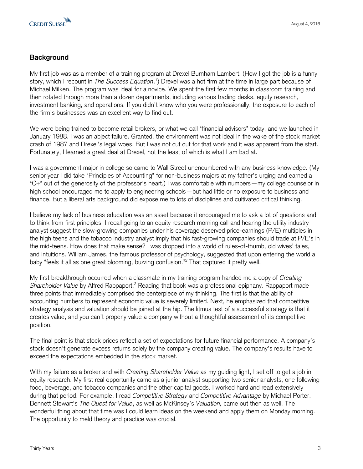

### **Background**

My first job was as a member of a training program at Drexel Burnham Lambert. (How I got the job is a funny story, which I recount in *The Success Equation*. 1 ) Drexel was a hot firm at the time in large part because of Michael Milken. The program was ideal for a novice. We spent the first few months in classroom training and then rotated through more than a dozen departments, including various trading desks, equity research, investment banking, and operations. If you didn't know who you were professionally, the exposure to each of the firm's businesses was an excellent way to find out.

We were being trained to become retail brokers, or what we call "financial advisors" today, and we launched in January 1988. I was an abject failure. Granted, the environment was not ideal in the wake of the stock market crash of 1987 and Drexel's legal woes. But I was not cut out for that work and it was apparent from the start. Fortunately, I learned a great deal at Drexel, not the least of which is what I am bad at.

I was a government major in college so came to Wall Street unencumbered with any business knowledge. (My senior year I did take "Principles of Accounting" for non-business majors at my father's urging and earned a "C+" out of the generosity of the professor's heart.) I was comfortable with numbers—my college counselor in high school encouraged me to apply to engineering schools—but had little or no exposure to business and finance. But a liberal arts background did expose me to lots of disciplines and cultivated critical thinking.

I believe my lack of business education was an asset because it encouraged me to ask a lot of questions and to think from first principles. I recall going to an equity research morning call and hearing the utility industry analyst suggest the slow-growing companies under his coverage deserved price-earnings (P/E) multiples in the high teens and the tobacco industry analyst imply that his fast-growing companies should trade at P/E's in the mid-teens. How does that make sense? I was dropped into a world of rules-of-thumb, old wives' tales, and intuitions. William James, the famous professor of psychology, suggested that upon entering the world a baby "feels it all as one great blooming, buzzing confusion."<sup>2</sup> That captured it pretty well.

My first breakthrough occurred when a classmate in my training program handed me a copy of *Creating Shareholder Value* by Alfred Rappaport.<sup>3</sup> Reading that book was a professional epiphany. Rappaport made three points that immediately comprised the centerpiece of my thinking. The first is that the ability of accounting numbers to represent economic value is severely limited. Next, he emphasized that competitive strategy analysis and valuation should be joined at the hip. The litmus test of a successful strategy is that it creates value, and you can't properly value a company without a thoughtful assessment of its competitive position.

The final point is that stock prices reflect a set of expectations for future financial performance. A company's stock doesn't generate excess returns solely by the company creating value. The company's results have to exceed the expectations embedded in the stock market.

With my failure as a broker and with *Creating Shareholder Value* as my guiding light, I set off to get a job in equity research. My first real opportunity came as a junior analyst supporting two senior analysts, one following food, beverage, and tobacco companies and the other capital goods. I worked hard and read extensively during that period. For example, I read *Competitive Strategy* and *Competitive Advantage* by Michael Porter. Bennett Stewart's *The Quest for Value*, as well as McKinsey's *Valuation,* came out then as well. The wonderful thing about that time was I could learn ideas on the weekend and apply them on Monday morning. The opportunity to meld theory and practice was crucial.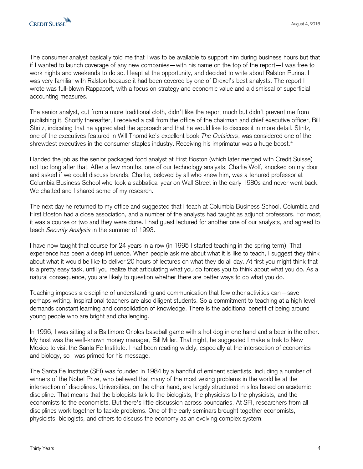The consumer analyst basically told me that I was to be available to support him during business hours but that if I wanted to launch coverage of any new companies—with his name on the top of the report—I was free to work nights and weekends to do so. I leapt at the opportunity, and decided to write about Ralston Purina. I was very familiar with Ralston because it had been covered by one of Drexel's best analysts. The report I wrote was full-blown Rappaport, with a focus on strategy and economic value and a dismissal of superficial accounting measures.

The senior analyst, cut from a more traditional cloth, didn't like the report much but didn't prevent me from publishing it. Shortly thereafter, I received a call from the office of the chairman and chief executive officer, Bill Stiritz, indicating that he appreciated the approach and that he would like to discuss it in more detail. Stiritz, one of the executives featured in Will Thorndike's excellent book *The Outsiders*, was considered one of the shrewdest executives in the consumer staples industry. Receiving his imprimatur was a huge boost.<sup>4</sup>

I landed the job as the senior packaged food analyst at First Boston (which later merged with Credit Suisse) not too long after that. After a few months, one of our technology analysts, Charlie Wolf, knocked on my door and asked if we could discuss brands. Charlie, beloved by all who knew him, was a tenured professor at Columbia Business School who took a sabbatical year on Wall Street in the early 1980s and never went back. We chatted and I shared some of my research.

The next day he returned to my office and suggested that I teach at Columbia Business School. Columbia and First Boston had a close association, and a number of the analysts had taught as adjunct professors. For most, it was a course or two and they were done. I had guest lectured for another one of our analysts, and agreed to teach *Security Analysis* in the summer of 1993.

I have now taught that course for 24 years in a row (in 1995 I started teaching in the spring term). That experience has been a deep influence. When people ask me about what it is like to teach, I suggest they think about what it would be like to deliver 20 hours of lectures on what they do all day. At first you might think that is a pretty easy task, until you realize that articulating what you do forces you to think about what you do. As a natural consequence, you are likely to question whether there are better ways to do what you do.

Teaching imposes a discipline of understanding and communication that few other activities can—save perhaps writing. Inspirational teachers are also diligent students. So a commitment to teaching at a high level demands constant learning and consolidation of knowledge. There is the additional benefit of being around young people who are bright and challenging.

In 1996, I was sitting at a Baltimore Orioles baseball game with a hot dog in one hand and a beer in the other. My host was the well-known money manager, Bill Miller. That night, he suggested I make a trek to New Mexico to visit the Santa Fe Institute. I had been reading widely, especially at the intersection of economics and biology, so I was primed for his message.

The Santa Fe Institute (SFI) was founded in 1984 by a handful of eminent scientists, including a number of winners of the Nobel Prize, who believed that many of the most vexing problems in the world lie at the intersection of disciplines. Universities, on the other hand, are largely structured in silos based on academic discipline. That means that the biologists talk to the biologists, the physicists to the physicists, and the economists to the economists. But there's little discussion across boundaries. At SFI, researchers from all disciplines work together to tackle problems. One of the early seminars brought together economists, physicists, biologists, and others to discuss the economy as an evolving complex system.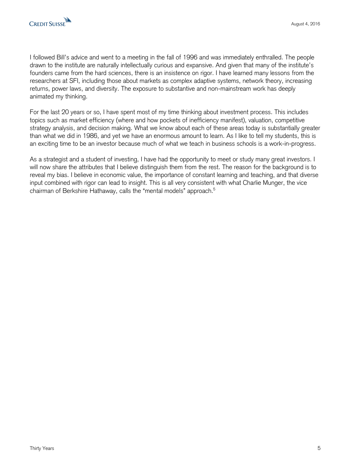I followed Bill's advice and went to a meeting in the fall of 1996 and was immediately enthralled. The people drawn to the institute are naturally intellectually curious and expansive. And given that many of the institute's founders came from the hard sciences, there is an insistence on rigor. I have learned many lessons from the researchers at SFI, including those about markets as complex adaptive systems, network theory, increasing returns, power laws, and diversity. The exposure to substantive and non-mainstream work has deeply animated my thinking.

For the last 20 years or so, I have spent most of my time thinking about investment process. This includes topics such as market efficiency (where and how pockets of inefficiency manifest), valuation, competitive strategy analysis, and decision making. What we know about each of these areas today is substantially greater than what we did in 1986, and yet we have an enormous amount to learn. As I like to tell my students, this is an exciting time to be an investor because much of what we teach in business schools is a work-in-progress.

As a strategist and a student of investing, I have had the opportunity to meet or study many great investors. I will now share the attributes that I believe distinguish them from the rest. The reason for the background is to reveal my bias. I believe in economic value, the importance of constant learning and teaching, and that diverse input combined with rigor can lead to insight. This is all very consistent with what Charlie Munger, the vice chairman of Berkshire Hathaway, calls the "mental models" approach.<sup>5</sup>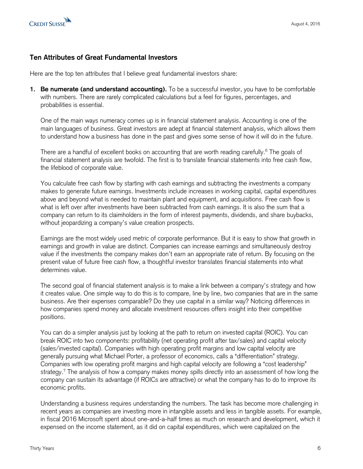

#### **Ten Attributes of Great Fundamental Investors**

Here are the top ten attributes that I believe great fundamental investors share:

**1. Be numerate (and understand accounting).** To be a successful investor, you have to be comfortable with numbers. There are rarely complicated calculations but a feel for figures, percentages, and probabilities is essential.

One of the main ways numeracy comes up is in financial statement analysis. Accounting is one of the main languages of business. Great investors are adept at financial statement analysis, which allows them to understand how a business has done in the past and gives some sense of how it will do in the future.

There are a handful of excellent books on accounting that are worth reading carefully.<sup>6</sup> The goals of financial statement analysis are twofold. The first is to translate financial statements into free cash flow, the lifeblood of corporate value.

You calculate free cash flow by starting with cash earnings and subtracting the investments a company makes to generate future earnings. Investments include increases in working capital, capital expenditures above and beyond what is needed to maintain plant and equipment, and acquisitions. Free cash flow is what is left over after investments have been subtracted from cash earnings. It is also the sum that a company can return to its claimholders in the form of interest payments, dividends, and share buybacks, without jeopardizing a company's value creation prospects.

Earnings are the most widely used metric of corporate performance. But it is easy to show that growth in earnings and growth in value are distinct. Companies can increase earnings and simultaneously destroy value if the investments the company makes don't earn an appropriate rate of return. By focusing on the present value of future free cash flow, a thoughtful investor translates financial statements into what determines value.

The second goal of financial statement analysis is to make a link between a company's strategy and how it creates value. One simple way to do this is to compare, line by line, two companies that are in the same business. Are their expenses comparable? Do they use capital in a similar way? Noticing differences in how companies spend money and allocate investment resources offers insight into their competitive positions.

You can do a simpler analysis just by looking at the path to return on invested capital (ROIC). You can break ROIC into two components: profitability (net operating profit after tax/sales) and capital velocity (sales/invested capital). Companies with high operating profit margins and low capital velocity are generally pursuing what Michael Porter, a professor of economics, calls a "differentiation" strategy. Companies with low operating profit margins and high capital velocity are following a "cost leadership" strategy.<sup>7</sup> The analysis of how a company makes money spills directly into an assessment of how long the company can sustain its advantage (if ROICs are attractive) or what the company has to do to improve its economic profits.

Understanding a business requires understanding the numbers. The task has become more challenging in recent years as companies are investing more in intangible assets and less in tangible assets. For example, in fiscal 2016 Microsoft spent about one-and-a-half times as much on research and development, which it expensed on the income statement, as it did on capital expenditures, which were capitalized on the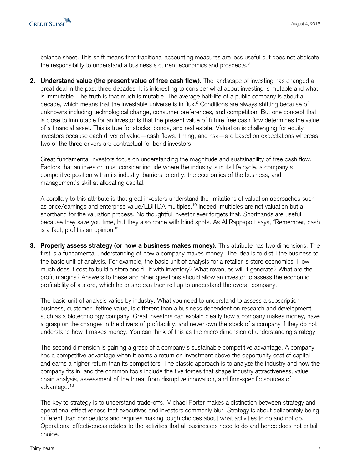

balance sheet. This shift means that traditional accounting measures are less useful but does not abdicate the responsibility to understand a business's current economics and prospects.<sup>8</sup>

**2. Understand value (the present value of free cash flow).** The landscape of investing has changed a great deal in the past three decades. It is interesting to consider what about investing is mutable and what is immutable. The truth is that much is mutable. The average half-life of a public company is about a decade, which means that the investable universe is in flux.<sup>9</sup> Conditions are always shifting because of unknowns including technological change, consumer preferences, and competition. But one concept that is close to immutable for an investor is that the present value of future free cash flow determines the value of a financial asset. This is true for stocks, bonds, and real estate. Valuation is challenging for equity investors because each driver of value—cash flows, timing, and risk—are based on expectations whereas two of the three drivers are contractual for bond investors.

Great fundamental investors focus on understanding the magnitude and sustainability of free cash flow. Factors that an investor must consider include where the industry is in its life cycle, a company's competitive position within its industry, barriers to entry, the economics of the business, and management's skill at allocating capital.

A corollary to this attribute is that great investors understand the limitations of valuation approaches such as price/earnings and enterprise value/EBITDA multiples.<sup>10</sup> Indeed, multiples are not valuation but a shorthand for the valuation process. No thoughtful investor ever forgets that. Shorthands are useful because they save you time, but they also come with blind spots. As Al Rappaport says, "Remember, cash is a fact, profit is an opinion."<sup>11</sup>

**3. Properly assess strategy (or how a business makes money).** This attribute has two dimensions. The first is a fundamental understanding of how a company makes money. The idea is to distill the business to the basic unit of analysis. For example, the basic unit of analysis for a retailer is store economics. How much does it cost to build a store and fill it with inventory? What revenues will it generate? What are the profit margins? Answers to these and other questions should allow an investor to assess the economic profitability of a store, which he or she can then roll up to understand the overall company.

The basic unit of analysis varies by industry. What you need to understand to assess a subscription business, customer lifetime value, is different than a business dependent on research and development such as a biotechnology company. Great investors can explain clearly how a company makes money, have a grasp on the changes in the drivers of profitability, and never own the stock of a company if they do not understand how it makes money. You can think of this as the micro dimension of understanding strategy.

The second dimension is gaining a grasp of a company's sustainable competitive advantage. A company has a competitive advantage when it earns a return on investment above the opportunity cost of capital and earns a higher return than its competitors. The classic approach is to analyze the industry and how the company fits in, and the common tools include the five forces that shape industry attractiveness, value chain analysis, assessment of the threat from disruptive innovation, and firm-specific sources of advantage.<sup>12</sup>

The key to strategy is to understand trade-offs. Michael Porter makes a distinction between strategy and operational effectiveness that executives and investors commonly blur. Strategy is about deliberately being different than competitors and requires making tough choices about what activities to do and not do. Operational effectiveness relates to the activities that all businesses need to do and hence does not entail choice.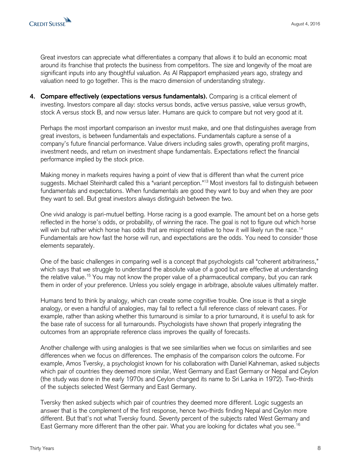Great investors can appreciate what differentiates a company that allows it to build an economic moat around its franchise that protects the business from competitors. The size and longevity of the moat are significant inputs into any thoughtful valuation. As Al Rappaport emphasized years ago, strategy and valuation need to go together. This is the macro dimension of understanding strategy.

**4. Compare effectively (expectations versus fundamentals).** Comparing is a critical element of investing. Investors compare all day: stocks versus bonds, active versus passive, value versus growth, stock A versus stock B, and now versus later. Humans are quick to compare but not very good at it.

Perhaps the most important comparison an investor must make, and one that distinguishes average from great investors, is between fundamentals and expectations. Fundamentals capture a sense of a company's future financial performance. Value drivers including sales growth, operating profit margins, investment needs, and return on investment shape fundamentals. Expectations reflect the financial performance implied by the stock price.

Making money in markets requires having a point of view that is different than what the current price suggests. Michael Steinhardt called this a "variant perception."<sup>13</sup> Most investors fail to distinguish between fundamentals and expectations. When fundamentals are good they want to buy and when they are poor they want to sell. But great investors always distinguish between the two.

One vivid analogy is pari-mutuel betting. Horse racing is a good example. The amount bet on a horse gets reflected in the horse's odds, or probability, of winning the race. The goal is not to figure out which horse will win but rather which horse has odds that are mispriced relative to how it will likely run the race.<sup>14</sup> Fundamentals are how fast the horse will run, and expectations are the odds. You need to consider those elements separately.

One of the basic challenges in comparing well is a concept that psychologists call "coherent arbitrariness," which says that we struggle to understand the absolute value of a good but are effective at understanding the relative value.<sup>15</sup> You may not know the proper value of a pharmaceutical company, but you can rank them in order of your preference. Unless you solely engage in arbitrage, absolute values ultimately matter.

Humans tend to think by analogy, which can create some cognitive trouble. One issue is that a single analogy, or even a handful of analogies, may fail to reflect a full reference class of relevant cases. For example, rather than asking whether this turnaround is similar to a prior turnaround, it is useful to ask for the base rate of success for all turnarounds. Psychologists have shown that properly integrating the outcomes from an appropriate reference class improves the quality of forecasts.

Another challenge with using analogies is that we see similarities when we focus on similarities and see differences when we focus on differences. The emphasis of the comparison colors the outcome. For example, Amos Tversky, a psychologist known for his collaboration with Daniel Kahneman, asked subjects which pair of countries they deemed more similar, West Germany and East Germany or Nepal and Ceylon (the study was done in the early 1970s and Ceylon changed its name to Sri Lanka in 1972). Two-thirds of the subjects selected West Germany and East Germany.

Tversky then asked subjects which pair of countries they deemed more different. Logic suggests an answer that is the complement of the first response, hence two-thirds finding Nepal and Ceylon more different. But that's not what Tversky found. Seventy percent of the subjects rated West Germany and East Germany more different than the other pair. What you are looking for dictates what you see.<sup>16</sup>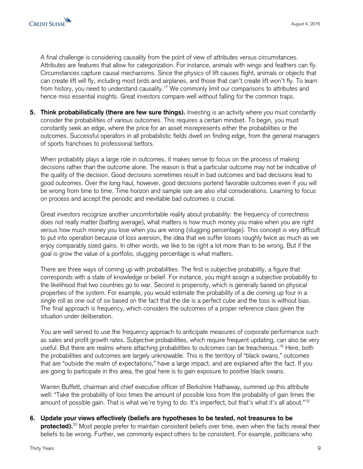A final challenge is considering causality from the point of view of attributes versus circumstances. Attributes are features that allow for categorization. For instance, animals with wings and feathers can fly. Circumstances capture causal mechanisms. Since the physics of lift causes flight, animals or objects that can create lift will fly, including most birds and airplanes, and those that can't create lift won't fly. To learn from history, you need to understand causality.<sup>17</sup> We commonly limit our comparisons to attributes and hence miss essential insights. Great investors compare well without falling for the common traps.

**5. Think probabilistically (there are few sure things).** Investing is an activity where you must constantly consider the probabilities of various outcomes. This requires a certain mindset. To begin, you must constantly seek an edge, where the price for an asset misrepresents either the probabilities or the outcomes. Successful operators in all probabilistic fields dwell on finding edge, from the general managers of sports franchises to professional bettors.

When probability plays a large role in outcomes, it makes sense to focus on the process of making decisions rather than the outcome alone. The reason is that a particular outcome may not be indicative of the quality of the decision. Good decisions sometimes result in bad outcomes and bad decisions lead to good outcomes. Over the long haul, however, good decisions portend favorable outcomes even if you will be wrong from time to time. Time horizon and sample size are also vital considerations. Learning to focus on process and accept the periodic and inevitable bad outcomes is crucial.

Great investors recognize another uncomfortable reality about probability: the frequency of correctness does not really matter (batting average), what matters is how much money you make when you are right versus how much money you lose when you are wrong (slugging percentage). This concept is very difficult to put into operation because of loss aversion, the idea that we suffer losses roughly twice as much as we enjoy comparably sized gains. In other words, we like to be right a lot more than to be wrong. But if the goal is grow the value of a portfolio, slugging percentage is what matters.

There are three ways of coming up with probabilities. The first is subjective probability, a figure that corresponds with a state of knowledge or belief. For instance, you might assign a subjective probability to the likelihood that two countries go to war. Second is propensity, which is generally based on physical properties of the system. For example, you would estimate the probability of a die coming up four in a single roll as one out of six based on the fact that the die is a perfect cube and the toss is without bias. The final approach is frequency, which considers the outcomes of a proper reference class given the situation under deliberation.

You are well served to use the frequency approach to anticipate measures of corporate performance such as sales and profit growth rates. Subjective probabilities, which require frequent updating, can also be very useful. But there are realms where attaching probabilities to outcomes can be treacherous.<sup>18</sup> Here, both the probabilities and outcomes are largely unknowable. This is the territory of "black swans," outcomes that are "outside the realm of expectations," have a large impact, and are explained after the fact. If you are going to participate in this area, the goal here is to gain exposure to positive black swans.

Warren Buffett, chairman and chief executive officer of Berkshire Hathaway, summed up this attribute well: "Take the probability of loss times the amount of possible loss from the probability of gain times the amount of possible gain. That is what we're trying to do. It's imperfect, but that's what it's all about."<sup>19</sup>

**6. Update your views effectively (beliefs are hypotheses to be tested, not treasures to be protected).**<sup>20</sup> Most people prefer to maintain consistent beliefs over time, even when the facts reveal their beliefs to be wrong. Further, we commonly expect others to be consistent. For example, politicians who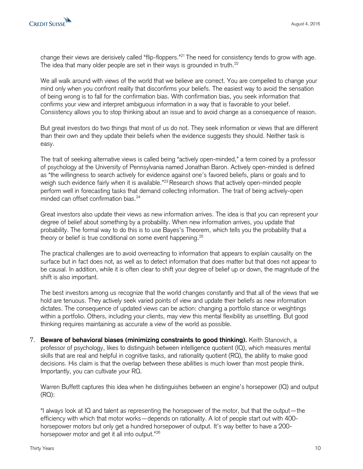

change their views are derisively called "flip-floppers."<sup>21</sup> The need for consistency tends to grow with age. The idea that many older people are set in their ways is grounded in truth.<sup>22</sup>

We all walk around with views of the world that we believe are correct. You are compelled to change your mind only when you confront reality that disconfirms your beliefs. The easiest way to avoid the sensation of being wrong is to fall for the confirmation bias. With confirmation bias, you seek information that confirms your view and interpret ambiguous information in a way that is favorable to your belief. Consistency allows you to stop thinking about an issue and to avoid change as a consequence of reason.

But great investors do two things that most of us do not. They seek information or views that are different than their own and they update their beliefs when the evidence suggests they should. Neither task is easy.

The trait of seeking alternative views is called being "actively open-minded," a term coined by a professor of psychology at the University of Pennsylvania named Jonathan Baron. Actively open-minded is defined as "the willingness to search actively for evidence against one's favored beliefs, plans or goals and to weigh such evidence fairly when it is available."<sup>23</sup> Research shows that actively open-minded people perform well in forecasting tasks that demand collecting information. The trait of being actively-open minded can offset confirmation bias.<sup>24</sup>

Great investors also update their views as new information arrives. The idea is that you can represent your degree of belief about something by a probability. When new information arrives, you update that probability. The formal way to do this is to use Bayes's Theorem, which tells you the probability that a theory or belief is true conditional on some event happening.<sup>25</sup>

The practical challenges are to avoid overreacting to information that appears to explain causality on the surface but in fact does not, as well as to detect information that does matter but that does not appear to be causal. In addition, while it is often clear to shift your degree of belief up or down, the magnitude of the shift is also important.

The best investors among us recognize that the world changes constantly and that all of the views that we hold are tenuous. They actively seek varied points of view and update their beliefs as new information dictates. The consequence of updated views can be action: changing a portfolio stance or weightings within a portfolio. Others, including your clients, may view this mental flexibility as unsettling. But good thinking requires maintaining as accurate a view of the world as possible.

7. **Beware of behavioral biases (minimizing constraints to good thinking).** Keith Stanovich, a professor of psychology, likes to distinguish between intelligence quotient (IQ), which measures mental skills that are real and helpful in cognitive tasks, and rationality quotient (RQ), the ability to make good decisions. His claim is that the overlap between these abilities is much lower than most people think. Importantly, you can cultivate your RQ.

Warren Buffett captures this idea when he distinguishes between an engine's horsepower (IQ) and output (RQ):

"I always look at IQ and talent as representing the horsepower of the motor, but that the output—the efficiency with which that motor works—depends on rationality. A lot of people start out with 400 horsepower motors but only get a hundred horsepower of output. It's way better to have a 200 horsepower motor and get it all into output."<sup>26</sup>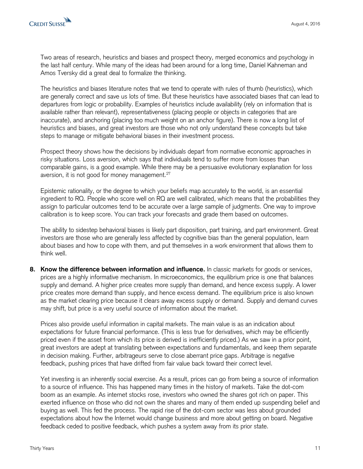

Two areas of research, heuristics and biases and prospect theory, merged economics and psychology in the last half century. While many of the ideas had been around for a long time, Daniel Kahneman and Amos Tversky did a great deal to formalize the thinking.

The heuristics and biases literature notes that we tend to operate with rules of thumb (heuristics), which are generally correct and save us lots of time. But these heuristics have associated biases that can lead to departures from logic or probability. Examples of heuristics include availability (rely on information that is available rather than relevant), representativeness (placing people or objects in categories that are inaccurate), and anchoring (placing too much weight on an anchor figure). There is now a long list of heuristics and biases, and great investors are those who not only understand these concepts but take steps to manage or mitigate behavioral biases in their investment process.

Prospect theory shows how the decisions by individuals depart from normative economic approaches in risky situations. Loss aversion, which says that individuals tend to suffer more from losses than comparable gains, is a good example. While there may be a persuasive evolutionary explanation for loss aversion, it is not good for money management.<sup>27</sup>

Epistemic rationality, or the degree to which your beliefs map accurately to the world, is an essential ingredient to RQ. People who score well on RQ are well calibrated, which means that the probabilities they assign to particular outcomes tend to be accurate over a large sample of judgments. One way to improve calibration is to keep score. You can track your forecasts and grade them based on outcomes.

The ability to sidestep behavioral biases is likely part disposition, part training, and part environment. Great investors are those who are generally less affected by cognitive bias than the general population, learn about biases and how to cope with them, and put themselves in a work environment that allows them to think well.

**8. Know the difference between information and influence.** In classic markets for goods or services, prices are a highly informative mechanism. In microeconomics, the equilibrium price is one that balances supply and demand. A higher price creates more supply than demand, and hence excess supply. A lower price creates more demand than supply, and hence excess demand. The equilibrium price is also known as the market clearing price because it clears away excess supply or demand. Supply and demand curves may shift, but price is a very useful source of information about the market.

Prices also provide useful information in capital markets. The main value is as an indication about expectations for future financial performance. (This is less true for derivatives, which may be efficiently priced even if the asset from which its price is derived is inefficiently priced.) As we saw in a prior point, great investors are adept at translating between expectations and fundamentals, and keep them separate in decision making. Further, arbitrageurs serve to close aberrant price gaps. Arbitrage is negative feedback, pushing prices that have drifted from fair value back toward their correct level.

Yet investing is an inherently social exercise. As a result, prices can go from being a source of information to a source of influence. This has happened many times in the history of markets. Take the dot-com boom as an example. As internet stocks rose, investors who owned the shares got rich on paper. This exerted influence on those who did not own the shares and many of them ended up suspending belief and buying as well. This fed the process. The rapid rise of the dot-com sector was less about grounded expectations about how the Internet would change business and more about getting on board. Negative feedback ceded to positive feedback, which pushes a system away from its prior state.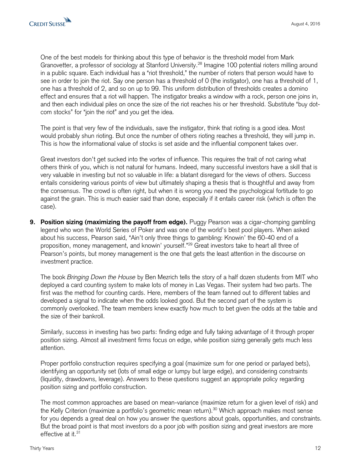One of the best models for thinking about this type of behavior is the threshold model from Mark Granovetter, a professor of sociology at Stanford University.<sup>28</sup> Imagine 100 potential rioters milling around in a public square. Each individual has a "riot threshold," the number of rioters that person would have to see in order to join the riot. Say one person has a threshold of 0 (the instigator), one has a threshold of 1, one has a threshold of 2, and so on up to 99. This uniform distribution of thresholds creates a domino effect and ensures that a riot will happen. The instigator breaks a window with a rock, person one joins in, and then each individual piles on once the size of the riot reaches his or her threshold. Substitute "buy dotcom stocks" for "join the riot" and you get the idea.

The point is that very few of the individuals, save the instigator, think that rioting is a good idea. Most would probably shun rioting. But once the number of others rioting reaches a threshold, they will jump in. This is how the informational value of stocks is set aside and the influential component takes over.

Great investors don't get sucked into the vortex of influence. This requires the trait of not caring what others think of you, which is not natural for humans. Indeed, many successful investors have a skill that is very valuable in investing but not so valuable in life: a blatant disregard for the views of others. Success entails considering various points of view but ultimately shaping a thesis that is thoughtful and away from the consensus. The crowd is often right, but when it is wrong you need the psychological fortitude to go against the grain. This is much easier said than done, especially if it entails career risk (which is often the case).

**9. Position sizing (maximizing the payoff from edge).** Puggy Pearson was a cigar-chomping gambling legend who won the World Series of Poker and was one of the world's best pool players. When asked about his success, Pearson said, "Ain't only three things to gambling: Knowin' the 60-40 end of a proposition, money management, and knowin' yourself."<sup>29</sup> Great investors take to heart all three of Pearson's points, but money management is the one that gets the least attention in the discourse on investment practice.

The book *Bringing Down the House* by Ben Mezrich tells the story of a half dozen students from MIT who deployed a card counting system to make lots of money in Las Vegas. Their system had two parts. The first was the method for counting cards. Here, members of the team fanned out to different tables and developed a signal to indicate when the odds looked good. But the second part of the system is commonly overlooked. The team members knew exactly how much to bet given the odds at the table and the size of their bankroll.

Similarly, success in investing has two parts: finding edge and fully taking advantage of it through proper position sizing. Almost all investment firms focus on edge, while position sizing generally gets much less attention.

Proper portfolio construction requires specifying a goal (maximize sum for one period or parlayed bets), identifying an opportunity set (lots of small edge or lumpy but large edge), and considering constraints (liquidity, drawdowns, leverage). Answers to these questions suggest an appropriate policy regarding position sizing and portfolio construction.

The most common approaches are based on mean-variance (maximize return for a given level of risk) and the Kelly Criterion (maximize a portfolio's geometric mean return).<sup>30</sup> Which approach makes most sense for you depends a great deal on how you answer the questions about goals, opportunities, and constraints. But the broad point is that most investors do a poor job with position sizing and great investors are more effective at it.<sup>31</sup>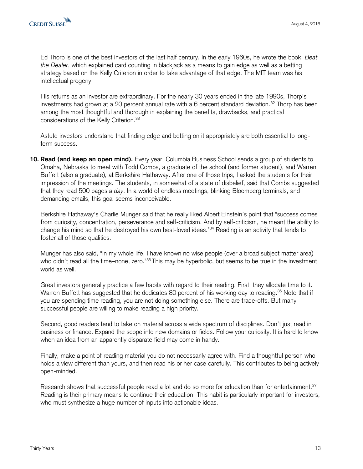Ed Thorp is one of the best investors of the last half century. In the early 1960s, he wrote the book, *Beat the Dealer*, which explained card counting in blackjack as a means to gain edge as well as a betting strategy based on the Kelly Criterion in order to take advantage of that edge. The MIT team was his intellectual progeny.

His returns as an investor are extraordinary. For the nearly 30 years ended in the late 1990s, Thorp's investments had grown at a 20 percent annual rate with a 6 percent standard deviation.<sup>32</sup> Thorp has been among the most thoughtful and thorough in explaining the benefits, drawbacks, and practical considerations of the Kelly Criterion.<sup>33</sup>

Astute investors understand that finding edge and betting on it appropriately are both essential to longterm success.

**10. Read (and keep an open mind).** Every year, Columbia Business School sends a group of students to Omaha, Nebraska to meet with Todd Combs, a graduate of the school (and former student), and Warren Buffett (also a graduate), at Berkshire Hathaway. After one of those trips, I asked the students for their impression of the meetings. The students, in somewhat of a state of disbelief, said that Combs suggested that they read 500 pages *a day*. In a world of endless meetings, blinking Bloomberg terminals, and demanding emails, this goal seems inconceivable.

Berkshire Hathaway's Charlie Munger said that he really liked Albert Einstein's point that "success comes from curiosity, concentration, perseverance and self-criticism. And by self-criticism, he meant the ability to change his mind so that he destroyed his own best-loved ideas."<sup>34</sup> Reading is an activity that tends to foster all of those qualities.

Munger has also said, "In my whole life, I have known no wise people (over a broad subject matter area) who didn't read all the time–none, zero."<sup>35</sup> This may be hyperbolic, but seems to be true in the investment world as well.

Great investors generally practice a few habits with regard to their reading. First, they allocate time to it. Warren Buffett has suggested that he dedicates 80 percent of his working day to reading.<sup>36</sup> Note that if you are spending time reading, you are not doing something else. There are trade-offs. But many successful people are willing to make reading a high priority.

Second, good readers tend to take on material across a wide spectrum of disciplines. Don't just read in business or finance. Expand the scope into new domains or fields. Follow your curiosity. It is hard to know when an idea from an apparently disparate field may come in handy.

Finally, make a point of reading material you do not necessarily agree with. Find a thoughtful person who holds a view different than yours, and then read his or her case carefully. This contributes to being actively open-minded.

Research shows that successful people read a lot and do so more for education than for entertainment.<sup>37</sup> Reading is their primary means to continue their education. This habit is particularly important for investors, who must synthesize a huge number of inputs into actionable ideas.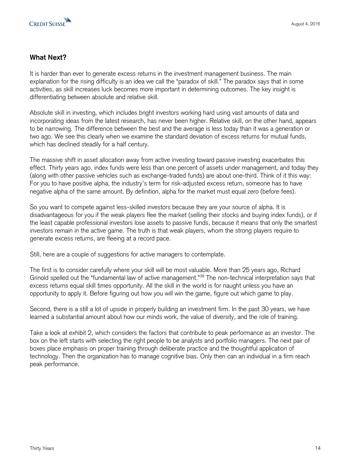

#### **What Next?**

It is harder than ever to generate excess returns in the investment management business. The main explanation for the rising difficulty is an idea we call the "paradox of skill." The paradox says that in some activities, as skill increases luck becomes more important in determining outcomes. The key insight is differentiating between absolute and relative skill.

Absolute skill in investing, which includes bright investors working hard using vast amounts of data and incorporating ideas from the latest research, has never been higher. Relative skill, on the other hand, appears to be narrowing. The difference between the best and the average is less today than it was a generation or two ago. We see this clearly when we examine the standard deviation of excess returns for mutual funds, which has declined steadily for a half century.

The massive shift in asset allocation away from active investing toward passive investing exacerbates this effect. Thirty years ago, index funds were less than one percent of assets under management, and today they (along with other passive vehicles such as exchange-traded funds) are about one-third. Think of it this way: For you to have positive alpha, the industry's term for risk-adjusted excess return, someone has to have negative alpha of the same amount. By definition, alpha for the market must equal zero (before fees).

So you want to compete against less-skilled investors because they are your source of alpha. It is disadvantageous for you if the weak players flee the market (selling their stocks and buying index funds), or if the least capable professional investors lose assets to passive funds, because it means that only the smartest investors remain in the active game. The truth is that weak players, whom the strong players require to generate excess returns, are fleeing at a record pace.

Still, here are a couple of suggestions for active managers to contemplate.

The first is to consider carefully where your skill will be most valuable. More than 25 years ago, Richard Grinold spelled out the "fundamental law of active management."<sup>38</sup> The non-technical interpretation says that excess returns equal skill times opportunity. All the skill in the world is for naught unless you have an opportunity to apply it. Before figuring out how you will win the game, figure out which game to play.

Second, there is a still a lot of upside in properly building an investment firm. In the past 30 years, we have learned a substantial amount about how our minds work, the value of diversity, and the role of training.

Take a look at exhibit 2, which considers the factors that contribute to peak performance as an investor. The box on the left starts with selecting the right people to be analysts and portfolio managers. The next pair of boxes place emphasis on proper training through deliberate practice and the thoughtful application of technology. Then the organization has to manage cognitive bias. Only then can an individual in a firm reach peak performance.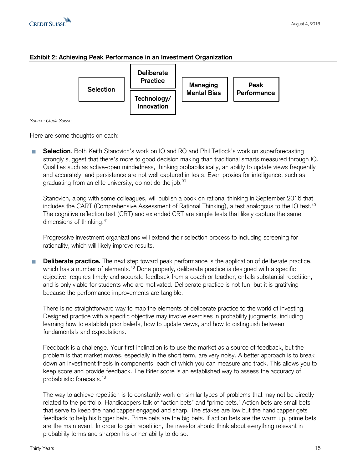#### **Exhibit 2: Achieving Peak Performance in an Investment Organization**



*Source: Credit Suisse.*

Here are some thoughts on each:

**Selection**. Both Keith Stanovich's work on IQ and RQ and Phil Tetlock's work on superforecasting strongly suggest that there's more to good decision making than traditional smarts measured through IQ. Qualities such as active-open mindedness, thinking probabilistically, an ability to update views frequently and accurately, and persistence are not well captured in tests. Even proxies for intelligence, such as graduating from an elite university, do not do the job.<sup>39</sup>

Stanovich, along with some colleagues, will publish a book on rational thinking in September 2016 that includes the CART (Comprehensive Assessment of Rational Thinking), a test analogous to the IQ test.<sup>40</sup> The cognitive reflection test (CRT) and extended CRT are simple tests that likely capture the same dimensions of thinking.<sup>41</sup>

Progressive investment organizations will extend their selection process to including screening for rationality, which will likely improve results.

**Deliberate practice.** The next step toward peak performance is the application of deliberate practice, **I** which has a number of elements.<sup>42</sup> Done properly, deliberate practice is designed with a specific objective, requires timely and accurate feedback from a coach or teacher, entails substantial repetition, and is only viable for students who are motivated. Deliberate practice is not fun, but it is gratifying because the performance improvements are tangible.

There is no straightforward way to map the elements of deliberate practice to the world of investing. Designed practice with a specific objective may involve exercises in probability judgments, including learning how to establish prior beliefs, how to update views, and how to distinguish between fundamentals and expectations.

Feedback is a challenge. Your first inclination is to use the market as a source of feedback, but the problem is that market moves, especially in the short term, are very noisy. A better approach is to break down an investment thesis in components, each of which you can measure and track. This allows you to keep score and provide feedback. The Brier score is an established way to assess the accuracy of probabilistic forecasts.<sup>43</sup>

The way to achieve repetition is to constantly work on similar types of problems that may not be directly related to the portfolio. Handicappers talk of "action bets" and "prime bets." Action bets are small bets that serve to keep the handicapper engaged and sharp. The stakes are low but the handicapper gets feedback to help his bigger bets. Prime bets are the big bets. If action bets are the warm up, prime bets are the main event. In order to gain repetition, the investor should think about everything relevant in probability terms and sharpen his or her ability to do so.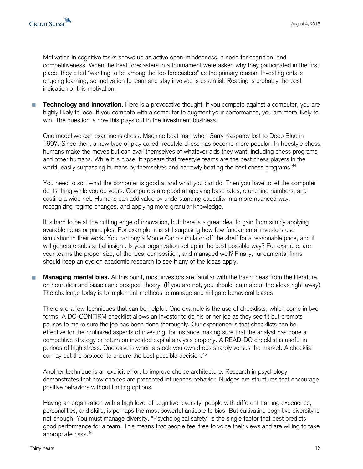Motivation in cognitive tasks shows up as active open-mindedness, a need for cognition, and competitiveness. When the best forecasters in a tournament were asked why they participated in the first place, they cited "wanting to be among the top forecasters" as the primary reason. Investing entails ongoing learning, so motivation to learn and stay involved is essential. Reading is probably the best indication of this motivation.

**Technology and innovation.** Here is a provocative thought: if you compete against a computer, you are П highly likely to lose. If you compete with a computer to augment your performance, you are more likely to win. The question is how this plays out in the investment business.

One model we can examine is chess. Machine beat man when Garry Kasparov lost to Deep Blue in 1997. Since then, a new type of play called freestyle chess has become more popular. In freestyle chess, humans make the moves but can avail themselves of whatever aids they want, including chess programs and other humans. While it is close, it appears that freestyle teams are the best chess players in the world, easily surpassing humans by themselves and narrowly beating the best chess programs.<sup>44</sup>

You need to sort what the computer is good at and what you can do. Then you have to let the computer do its thing while you do yours. Computers are good at applying base rates, crunching numbers, and casting a wide net. Humans can add value by understanding causality in a more nuanced way, recognizing regime changes, and applying more granular knowledge.

It is hard to be at the cutting edge of innovation, but there is a great deal to gain from simply applying available ideas or principles. For example, it is still surprising how few fundamental investors use simulation in their work. You can buy a Monte Carlo simulator off the shelf for a reasonable price, and it will generate substantial insight. Is your organization set up in the best possible way? For example, are your teams the proper size, of the ideal composition, and managed well? Finally, fundamental firms should keep an eye on academic research to see if any of the ideas apply.

**Managing mental bias.** At this point, most investors are familiar with the basic ideas from the literature П on heuristics and biases and prospect theory. (If you are not, you should learn about the ideas right away). The challenge today is to implement methods to manage and mitigate behavioral biases.

There are a few techniques that can be helpful. One example is the use of checklists, which come in two forms. A DO-CONFIRM checklist allows an investor to do his or her job as they see fit but prompts pauses to make sure the job has been done thoroughly. Our experience is that checklists can be effective for the routinized aspects of investing, for instance making sure that the analyst has done a competitive strategy or return on invested capital analysis properly. A READ-DO checklist is useful in periods of high stress. One case is when a stock you own drops sharply versus the market. A checklist can lay out the protocol to ensure the best possible decision.<sup>45</sup>

Another technique is an explicit effort to improve choice architecture. Research in psychology demonstrates that how choices are presented influences behavior. Nudges are structures that encourage positive behaviors without limiting options.

Having an organization with a high level of cognitive diversity, people with different training experience, personalities, and skills, is perhaps the most powerful antidote to bias. But cultivating cognitive diversity is not enough. You must manage diversity. "Psychological safety" is the single factor that best predicts good performance for a team. This means that people feel free to voice their views and are willing to take appropriate risks.46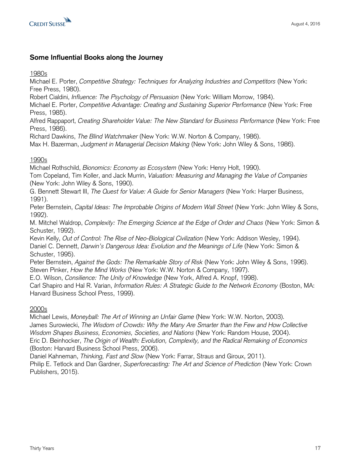

#### **Some Influential Books along the Journey**

#### 1980s

Michael E. Porter, *Competitive Strategy: Techniques for Analyzing Industries and Competitors* (New York: Free Press, 1980).

Robert Cialdini, *Influence: The Psychology of Persuasion* (New York: William Morrow, 1984).

Michael E. Porter, *Competitive Advantage: Creating and Sustaining Superior Performance* (New York: Free Press, 1985).

Alfred Rappaport, *Creating Shareholder Value: The New Standard for Business Performance* (New York: Free Press, 1986).

Richard Dawkins, *The Blind Watchmaker* (New York: W.W. Norton & Company, 1986).

Max H. Bazerman, *Judgment in Managerial Decision Making* (New York: John Wiley & Sons, 1986).

#### 1990s

Michael Rothschild, *Bionomics: Economy as Ecosystem* (New York: Henry Holt, 1990).

Tom Copeland, Tim Koller, and Jack Murrin, *Valuation: Measuring and Managing the Value of Companies* (New York: John Wiley & Sons, 1990).

G. Bennett Stewart III, *The Quest for Value: A Guide for Senior Managers* (New York: Harper Business, 1991).

Peter Bernstein, *Capital Ideas: The Improbable Origins of Modern Wall Street* (New York: John Wiley & Sons, 1992).

M. Mitchel Waldrop, *Complexity: The Emerging Science at the Edge of Order and Chaos* (New York: Simon & Schuster, 1992).

Kevin Kelly, *Out of Control: The Rise of Neo-Biological Civilization* (New York: Addison Wesley, 1994). Daniel C. Dennett, *Darwin's Dangerous Idea: Evolution and the Meanings of Life* (New York: Simon & Schuster, 1995).

Peter Bernstein, *Against the Gods: The Remarkable Story of Risk* (New York: John Wiley & Sons, 1996). Steven Pinker, *How the Mind Works* (New York: W.W. Norton & Company, 1997).

E.O. Wilson, *Consilience: The Unity of Knowledge* (New York, Alfred A. Knopf, 1998).

Carl Shapiro and Hal R. Varian, *Information Rules: A Strategic Guide to the Network Economy* (Boston, MA: Harvard Business School Press, 1999).

#### 2000s

Michael Lewis, *Moneyball: The Art of Winning an Unfair Game* (New York: W.W. Norton, 2003). James Surowiecki, *The Wisdom of Crowds: Why the Many Are Smarter than the Few and How Collective Wisdom Shapes Business, Economies, Societies, and Nations* (New York: Random House, 2004).

Eric D. Beinhocker, *The Origin of Wealth: Evolution, Complexity, and the Radical Remaking of Economics* (Boston: Harvard Business School Press, 2006).

Daniel Kahneman, *Thinking, Fast and Slow* (New York: Farrar, Straus and Giroux, 2011).

Philip E. Tetlock and Dan Gardner, *Superforecasting: The Art and Science of Prediction* (New York: Crown Publishers, 2015).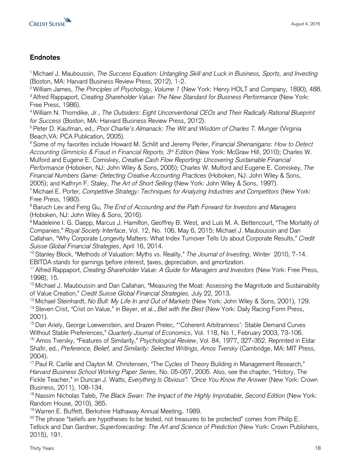

## **Endnotes**

<sup>1</sup>Michael J. Mauboussin, *The Success Equation: Untangling Skill and Luck in Business, Sports, and Investing* (Boston, MA: Harvard Business Review Press, 2012), 1-2.

<sup>2</sup>William James, *The Principles of Psychology, Volume 1* (New York: Henry HOLT and Company, 1890), 488. <sup>3</sup>Alfred Rappaport, *Creating Shareholder Value: The New Standard for Business Performance* (New York: Free Press, 1986).

<sup>4</sup>William N. Thorndike, Jr., *The Outsiders: Eight Unconventional CEOs and Their Radically Rational Blueprint for Success* (Boston, MA: Harvard Business Review Press, 2012).

<sup>5</sup> Peter D. Kaufman, ed., *Poor Charlie's Almanack: The Wit and Wisdom of Charles T. Munger* (Virginia Beach,VA: PCA Publication, 2005).

<sup>6</sup>Some of my favorites include Howard M. Schilit and Jeremy Perler, *Financial Shenanigans: How to Detect Accounting Gimmicks & Fraud in Financial Reports, 3rd Edition* (New York: McGraw Hill, 2010); Charles W. Mulford and Eugene E. Comiskey, *Creative Cash Flow Reporting: Uncovering Sustainable Financial* 

*Performance* (Hoboken, NJ: John Wiley & Sons, 2005); Charles W. Mulford and Eugene E. Comiskey, *The Financial Numbers Game: Detecting Creative Accounting Practices* (Hoboken, NJ: John Wiley & Sons, 2005); and Kathryn F. Staley, *The Art of Short Selling* (New York: John Wiley & Sons, 1997).

<sup>7</sup>Michael E. Porter, *Competitive Strategy: Techniques for Analyzing Industries and Competitors* (New York: Free Press, 1980).

<sup>8</sup>Baruch Lev and Feng Gu, *The End of Accounting and the Path Forward for Investors and Managers* (Hoboken, NJ: John Wiley & Sons, 2016).

<sup>9</sup> Madeleine I. G. Daepp, Marcus J. Hamilton, Geoffrey B. West, and Luís M. A. Bettencourt, "The Mortality of Companies," *Royal Society Interface*, Vol. 12, No. 106, May 6, 2015; Michael J. Mauboussin and Dan Callahan, "Why Corporate Longevity Matters: What Index Turnover Tells Us about Corporate Results," *Credit Suisse Global Financial Strategies*, April 16, 2014.

<sup>10</sup>Stanley Block, "Methods of Valuation: Myths vs. Reality," *The Journal of Investing*, Winter 2010, 7-14. EBITDA stands for earnings before interest, taxes, depreciation, and amortization.

<sup>11</sup>Alfred Rappaport, *Creating Shareholder Value: A Guide for Managers and Investors* (New York: Free Press, 1998), 15.

 $12$  Michael J. Mauboussin and Dan Callahan, "Measuring the Moat: Assessing the Magnitude and Sustainability of Value Creation," *Credit Suisse Global Financial Strategies,* July 22, 2013.

<sup>13</sup>Michael Steinhardt, *No Bull: My Life In and Out of Markets* (New York: John Wiley & Sons, 2001), 129. <sup>14</sup>Steven Crist, "Crist on Value," in Beyer, et al., *Bet with the Best* (New York: Daily Racing Form Press, 2001).

<sup>15</sup> Dan Ariely, George Loewenstein, and Drazen Prelec, "'Coherent Arbitrariness': Stable Demand Curves Without Stable Preferences," *Quarterly Journal of Economics*, Vol. 118, No 1, February 2003, 73-106. <sup>16</sup> Amos Tversky, "Features of Similarity," *Psychological Review*, Vol. 84, 1977, 327-352. Reprinted in Eldar Shafir, ed., *Preference, Belief, and Similarity: Selected Writings, Amos Tversky* (Cambridge, MA: MIT Press, 2004).

<sup>17</sup> Paul R. Carlile and Clayton M. Christensen, "The Cycles of Theory Building in Management Research," *Harvard Business School Working Paper Series*, No. 05-057, 2005. Also, see the chapter, "History, The Fickle Teacher," in Duncan J. Watts, *Everything Is Obvious\*: \*Once You Know the Answer* (New York: Crown Business, 2011), 108-134.

<sup>18</sup> Nassim Nicholas Taleb, *The Black Swan: The Impact of the Highly Improbable, Second Edition* (New York: Random House, 2010), 365.

<sup>19</sup>Warren E. Buffett, Berkshire Hathaway Annual Meeting, 1989.

 $20$  The phrase "beliefs are hypotheses to be tested, not treasures to be protected" comes from Philip E. Tetlock and Dan Gardner, *Superforecasting: The Art and Science of Prediction* (New York: Crown Publishers, 2015), 191.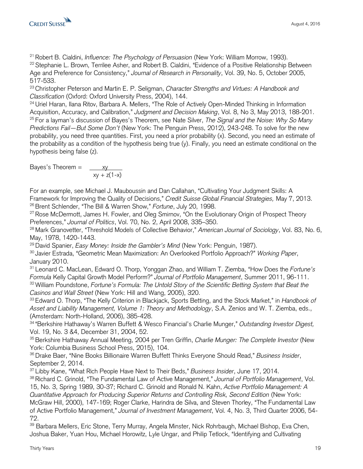

<sup>21</sup>Robert B. Cialdini, *Influence: The Psychology of Persuasion* (New York: William Morrow, 1993). <sup>22</sup> Stephanie L. Brown, Terrilee Asher, and Robert B. Cialdini, "Evidence of a Positive Relationship Between Age and Preference for Consistency," *Journal of Research in Personality*, Vol. 39, No. 5, October 2005, 517-533.

<sup>23</sup>Christopher Peterson and Martin E. P. Seligman, *Character Strengths and Virtues: A Handbook and Classification* (Oxford: Oxford University Press, 2004), 144.

<sup>24</sup> Uriel Haran, Ilana Ritov, Barbara A. Mellers, "The Role of Actively Open-Minded Thinking in Information Acquisition, Accuracy, and Calibration," *Judgment and Decision Making*, Vol. 8, No 3, May 2013, 188-201. <sup>25</sup>For a layman's discussion of Bayes's Theorem, see Nate Silver, *The Signal and the Noise: Why So Many Predictions Fail—But Some Don't* (New York: The Penguin Press, 2012), 243-248. To solve for the new probability, you need three quantities. First, you need a prior probability (x). Second, you need an estimate of the probability as a condition of the hypothesis being true (y). Finally, you need an estimate conditional on the hypothesis being false (z).

Bayes's Theorem  $=$   $\frac{xy}{xy}$  $xy + z(1-x)$ 

For an example, see Michael J. Mauboussin and Dan Callahan, "Cultivating Your Judgment Skills: A Framework for Improving the Quality of Decisions," *Credit Suisse Global Financial Strategies,* May 7, 2013. <sup>26</sup> Brent Schlender, "The Bill & Warren Show," Fortune, July 20, 1998.

<sup>27</sup> Rose McDermott, James H. Fowler, and Oleg Smirnov, "On the Evolutionary Origin of Prospect Theory Preferences," *Journal of Politics*, Vol. 70, No. 2, April 2008, 335–350.

<sup>28</sup>Mark Granovetter, "Threshold Models of Collective Behavior," *American Journal of Sociology*, Vol. 83, No. 6, May, 1978, 1420-1443.

<sup>29</sup>David Spanier, *Easy Money: Inside the Gambler's Mind* (New York: Penguin, 1987).

<sup>30</sup>Javier Estrada, "Geometric Mean Maximization: An Overlooked Portfolio Approach?" *Working Paper*, January 2010.

<sup>31</sup>Leonard C. MacLean, Edward O. Thorp, Yonggan Zhao, and William T. Ziemba, "How Does the *Fortune's Formula* Kelly Capital Growth Model Perform?" *Journal of Portfolio Management*, Summer 2011, 96-111. <sup>32</sup>William Poundstone, *Fortune's Formula: The Untold Story of the Scientific Betting System that Beat the Casinos and Wall Street* (New York: Hill and Wang, 2005), 320.

<sup>33</sup>Edward O. Thorp, "The Kelly Criterion in Blackjack, Sports Betting, and the Stock Market," in *Handbook of Asset and Liability Management, Volume 1: Theory and Methodology*, S.A. Zenios and W. T. Ziemba, eds., (Amsterdam: North-Holland, 2006), 385-428.

<sup>34</sup>"Berkshire Hathaway's Warren Buffett & Wesco Financial's Charlie Munger," *Outstanding Investor Digest,*  Vol. 19, No. 3 &4, December 31, 2004, 52.

<sup>35</sup> Berkshire Hathaway Annual Meeting, 2004 per Tren Griffin, *Charlie Munger: The Complete Investor* (New York: Columbia Business School Press, 2015), 104.

<sup>36</sup>Drake Baer, "Nine Books Billionaire Warren Buffett Thinks Everyone Should Read," *Business Insider*, September 2, 2014.

<sup>37</sup>Libby Kane, "What Rich People Have Next to Their Beds," *Business Insider*, June 17, 2014.

<sup>38</sup>Richard C. Grinold, "The Fundamental Law of Active Management," *Journal of Portfolio Management*, Vol. 15, No. 3, Spring 1989, 30-37; Richard C. Grinold and Ronald N. Kahn, *Active Portfolio Management: A Quantitative Approach for Producing Superior Returns and Controlling Risk, Second Edition* (New York: McGraw Hill, 2000), 147-169; Roger Clarke, Harindra de Silva, and Steven Thorley, "The Fundamental Law of Active Portfolio Management," *Journal of Investment Management*, Vol. 4, No. 3, Third Quarter 2006, 54- 72.

<sup>39</sup> Barbara Mellers, Eric Stone, Terry Murray, Angela Minster, Nick Rohrbaugh, Michael Bishop, Eva Chen, Joshua Baker, Yuan Hou, Michael Horowitz, Lyle Ungar, and Philip Tetlock, "Identifying and Cultivating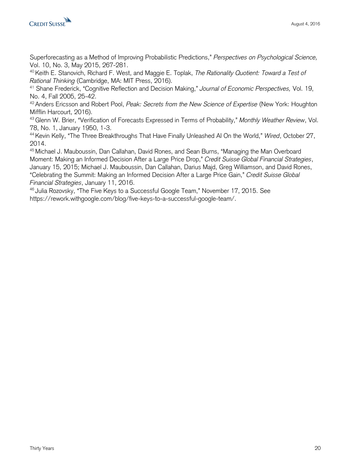

Superforecasting as a Method of Improving Probabilistic Predictions," *Perspectives on Psychological Science,*  Vol. 10, No. 3, May 2015, 267-281.

<sup>40</sup>Keith E. Stanovich, Richard F. West, and Maggie E. Toplak, *The Rationality Quotient: Toward a Test of Rational Thinking* (Cambridge, MA: MIT Press, 2016).

<sup>41</sup> Shane Frederick, "Cognitive Reflection and Decision Making," *Journal of Economic Perspectives,* Vol. 19, No. 4, Fall 2005, 25-42.

<sup>42</sup>Anders Ericsson and Robert Pool, *Peak: Secrets from the New Science of Expertise* (New York: Houghton Mifflin Harcourt, 2016).

<sup>43</sup>Glenn W. Brier, "Verification of Forecasts Expressed in Terms of Probability," *Monthly Weather Review*, Vol. 78, No. 1, January 1950, 1-3.

<sup>44</sup>Kevin Kelly, "The Three Breakthroughs That Have Finally Unleashed AI On the World," *Wired*, October 27, 2014.

<sup>45</sup> Michael J. Mauboussin, Dan Callahan, David Rones, and Sean Burns, "Managing the Man Overboard Moment: Making an Informed Decision After a Large Price Drop," *Credit Suisse Global Financial Strategies*, January 15, 2015; Michael J. Mauboussin, Dan Callahan, Darius Majd, Greg Williamson, and David Rones, "Celebrating the Summit: Making an Informed Decision After a Large Price Gain," *Credit Suisse Global Financial Strategies*, January 11, 2016.

<sup>46</sup> Julia Rozovsky, "The Five Keys to a Successful Google Team," November 17, 2015. See https://rework.withgoogle.com/blog/five-keys-to-a-successful-google-team/.